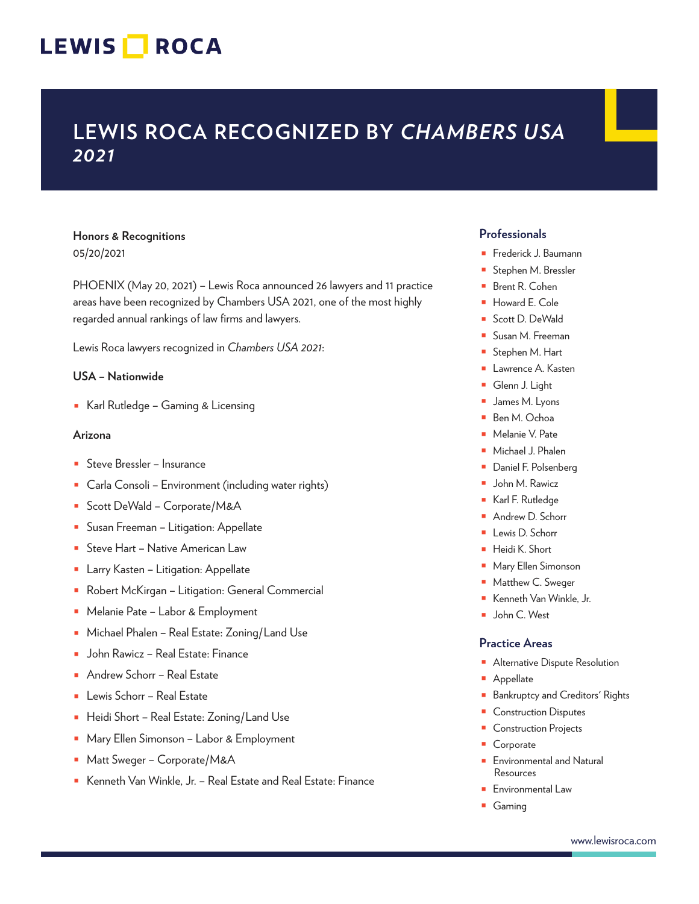## LEWIS **NOCA**

### **LEWIS ROCA RECOGNIZED BY** *CHAMBERS USA 2021*

#### **Honors & Recognitions** 05/20/2021

PHOENIX (May 20, 2021) – Lewis Roca announced 26 lawyers and 11 practice areas have been recognized by Chambers USA 2021, one of the most highly regarded annual rankings of law firms and lawyers.

Lewis Roca lawyers recognized in *Chambers USA 2021*:

#### **USA – Nationwide**

■ Karl Rutledge – Gaming & Licensing

#### **Arizona**

- Steve Bressler Insurance
- Carla Consoli Environment (including water rights)
- Scott DeWald Corporate/M&A
- Susan Freeman Litigation: Appellate
- Steve Hart Native American Law
- Larry Kasten Litigation: Appellate
- Robert McKirgan Litigation: General Commercial
- Melanie Pate Labor & Employment
- Michael Phalen Real Estate: Zoning/Land Use
- John Rawicz Real Estate: Finance
- Andrew Schorr Real Estate
- Lewis Schorr Real Estate
- Heidi Short Real Estate: Zoning/Land Use
- Mary Ellen Simonson Labor & Employment
- Matt Sweger Corporate/M&A
- Kenneth Van Winkle, Jr. Real Estate and Real Estate: Finance

#### **Professionals**

- Frederick J. Baumann
- Stephen M. Bressler
- Brent R. Cohen
- Howard E. Cole
- Scott D. DeWald
- Susan M. Freeman
- Stephen M. Hart
- Lawrence A. Kasten
- Glenn J. Light
- James M. Lyons
- Ben M. Ochoa
- Melanie V. Pate
- Michael J. Phalen
- Daniel F. Polsenberg
- John M. Rawicz
- Karl F. Rutledge
- Andrew D. Schorr
- Lewis D. Schorr
- Heidi K. Short
- Mary Ellen Simonson
- Matthew C. Sweger
- Kenneth Van Winkle, Jr.
- John C. West

#### **Practice Areas**

- Alternative Dispute Resolution
- Appellate
- Bankruptcy and Creditors' Rights
- **Construction Disputes**
- Construction Projects
- **Corporate**
- Environmental and Natural Resources
- Environmental Law
- Gaming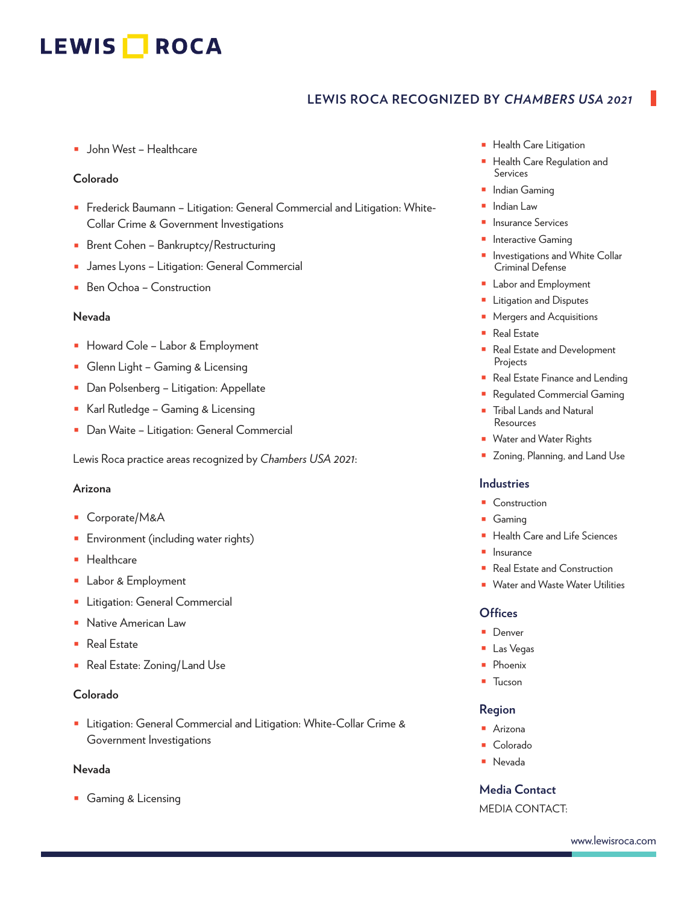# LEWIS **NOCA**

### **LEWIS ROCA RECOGNIZED BY** *CHAMBERS USA 2021*

■ John West – Healthcare

#### **Colorado**

- Frederick Baumann Litigation: General Commercial and Litigation: White-Collar Crime & Government Investigations
- Brent Cohen Bankruptcy/Restructuring
- James Lyons Litigation: General Commercial
- Ben Ochoa Construction

#### **Nevada**

- Howard Cole Labor & Employment
- Glenn Light Gaming & Licensing
- Dan Polsenberg Litigation: Appellate
- Karl Rutledge Gaming & Licensing
- Dan Waite Litigation: General Commercial

Lewis Roca practice areas recognized by *Chambers USA 2021*:

#### **Arizona**

- Corporate/M&A
- **■** Environment (including water rights)
- Healthcare
- Labor & Employment
- Litigation: General Commercial
- Native American Law
- Real Estate
- Real Estate: Zoning/Land Use

#### **Colorado**

■ Litigation: General Commercial and Litigation: White-Collar Crime & Government Investigations

#### **Nevada**

■ Gaming & Licensing

- Health Care Litigation
- Health Care Regulation and Services
- Indian Gaming
- Indian Law
- Insurance Services
- Interactive Gaming
- Investigations and White Collar Criminal Defense
- Labor and Employment
- Litigation and Disputes
- Mergers and Acquisitions
- Real Estate
- Real Estate and Development Projects
- Real Estate Finance and Lending
- Regulated Commercial Gaming
- **Tribal Lands and Natural** Resources
- Water and Water Rights
- Zoning, Planning, and Land Use

#### **Industries**

- Construction
- Gaming
- Health Care and Life Sciences
- Insurance
- Real Estate and Construction
- Water and Waste Water Utilities

#### **Offices**

- Denver
- Las Vegas
- Phoenix
- Tucson

#### **Region**

- Arizona
- Colorado
- Nevada

#### **Media Contact**

MEDIA CONTACT: